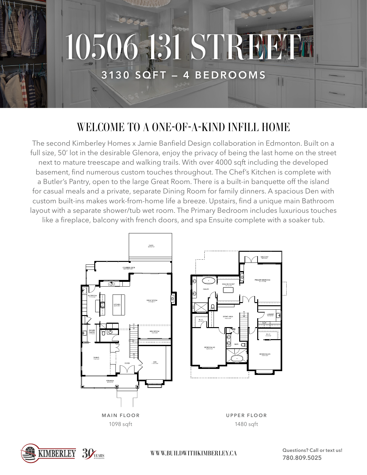

## WELCOME TO A ONE-OF-A-KIND INFILL HOME

The second Kimberley Homes x Jamie Banfield Design collaboration in Edmonton. Built on a full size, 50' lot in the desirable Glenora, enjoy the privacy of being the last home on the street next to mature treescape and walking trails. With over 4000 sqft including the developed basement, find numerous custom touches throughout. The Chef's Kitchen is complete with a Butler's Pantry, open to the large Great Room. There is a built-in banquette off the island for casual meals and a private, separate Dining Room for family dinners. A spacious Den with custom built-ins makes work-from-home life a breeze. Upstairs, find a unique main Bathroom layout with a separate shower/tub wet room. The Primary Bedroom includes luxurious touches like a fireplace, balcony with french doors, and spa Ensuite complete with a soaker tub.





WWW.BUILDWITHKIMBERLEY.CA **Questions? Call or text us!** 

**780.809.5025**